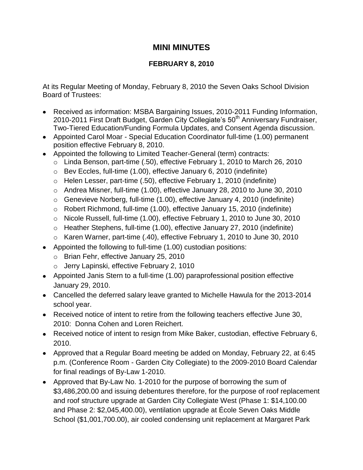## **MINI MINUTES**

## **FEBRUARY 8, 2010**

At its Regular Meeting of Monday, February 8, 2010 the Seven Oaks School Division Board of Trustees:

- Received as information: MSBA Bargaining Issues, 2010-2011 Funding Information, 2010-2011 First Draft Budget, Garden City Collegiate's 50<sup>th</sup> Anniversary Fundraiser, Two-Tiered Education/Funding Formula Updates, and Consent Agenda discussion.
- Appointed Carol Moar Special Education Coordinator full-time (1.00) permanent position effective February 8, 2010.
- Appointed the following to Limited Teacher-General (term) contracts:
	- o Linda Benson, part-time (.50), effective February 1, 2010 to March 26, 2010
	- o Bev Eccles, full-time (1.00), effective January 6, 2010 (indefinite)
	- o Helen Lesser, part-time (.50), effective February 1, 2010 (indefinite)
	- o Andrea Misner, full-time (1.00), effective January 28, 2010 to June 30, 2010
	- o Genevieve Norberg, full-time (1.00), effective January 4, 2010 (indefinite)
	- o Robert Richmond, full-time (1.00), effective January 15, 2010 (indefinite)
	- o Nicole Russell, full-time (1.00), effective February 1, 2010 to June 30, 2010
	- o Heather Stephens, full-time (1.00), effective January 27, 2010 (indefinite)
	- o Karen Warner, part-time (.40), effective February 1, 2010 to June 30, 2010
- Appointed the following to full-time (1.00) custodian positions:
	- o Brian Fehr, effective January 25, 2010
	- o Jerry Lapinski, effective February 2, 1010
- Appointed Janis Stern to a full-time (1.00) paraprofessional position effective January 29, 2010.
- Cancelled the deferred salary leave granted to Michelle Hawula for the 2013-2014 school year.
- Received notice of intent to retire from the following teachers effective June 30, 2010: Donna Cohen and Loren Reichert.
- Received notice of intent to resign from Mike Baker, custodian, effective February 6, 2010.
- Approved that a Regular Board meeting be added on Monday, February 22, at 6:45 p.m. (Conference Room - Garden City Collegiate) to the 2009-2010 Board Calendar for final readings of By-Law 1-2010.
- Approved that By-Law No. 1-2010 for the purpose of borrowing the sum of \$3,486,200.00 and issuing debentures therefore, for the purpose of roof replacement and roof structure upgrade at Garden City Collegiate West (Phase 1: \$14,100.00 and Phase 2: \$2,045,400.00), ventilation upgrade at École Seven Oaks Middle School (\$1,001,700.00), air cooled condensing unit replacement at Margaret Park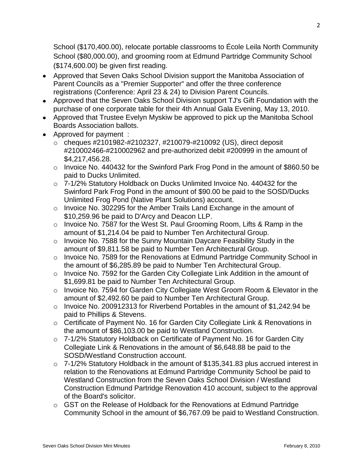School (\$170,400.00), relocate portable classrooms to École Leila North Community School (\$80,000.00), and grooming room at Edmund Partridge Community School (\$174,600.00) be given first reading.

- Approved that Seven Oaks School Division support the Manitoba Association of Parent Councils as a "Premier Supporter" and offer the three conference registrations (Conference: April 23 & 24) to Division Parent Councils.
- Approved that the Seven Oaks School Division support TJ's Gift Foundation with the purchase of one corporate table for their 4th Annual Gala Evening, May 13, 2010.
- Approved that Trustee Evelyn Myskiw be approved to pick up the Manitoba School Boards Association ballots.
- Approved for payment :
	- o cheques #2101982-#2102327, #210079-#210092 (US), direct deposit #210002466-#210002962 and pre-authorized debit #200999 in the amount of \$4,217,456.28.
	- o Invoice No. 440432 for the Swinford Park Frog Pond in the amount of \$860.50 be paid to Ducks Unlimited.
	- o 7-1/2% Statutory Holdback on Ducks Unlimited Invoice No. 440432 for the Swinford Park Frog Pond in the amount of \$90.00 be paid to the SOSD/Ducks Unlimited Frog Pond (Native Plant Solutions) account.
	- o Invoice No. 302295 for the Amber Trails Land Exchange in the amount of \$10,259.96 be paid to D'Arcy and Deacon LLP.
	- o Invoice No. 7587 for the West St. Paul Grooming Room, Lifts & Ramp in the amount of \$1,214.04 be paid to Number Ten Architectural Group.
	- $\circ$  Invoice No. 7588 for the Sunny Mountain Daycare Feasibility Study in the amount of \$9,811.58 be paid to Number Ten Architectural Group.
	- o Invoice No. 7589 for the Renovations at Edmund Partridge Community School in the amount of \$6,285.89 be paid to Number Ten Architectural Group.
	- o Invoice No. 7592 for the Garden City Collegiate Link Addition in the amount of \$1,699.81 be paid to Number Ten Architectural Group.
	- o Invoice No. 7594 for Garden City Collegiate West Groom Room & Elevator in the amount of \$2,492.60 be paid to Number Ten Architectural Group.
	- o Invoice No. 200912313 for Riverbend Portables in the amount of \$1,242.94 be paid to Phillips & Stevens.
	- o Certificate of Payment No. 16 for Garden City Collegiate Link & Renovations in the amount of \$86,103.00 be paid to Westland Construction.
	- o 7-1/2% Statutory Holdback on Certificate of Payment No. 16 for Garden City Collegiate Link & Renovations in the amount of \$6,648.88 be paid to the SOSD/Westland Construction account.
	- o 7-1/2% Statutory Holdback in the amount of \$135,341.83 plus accrued interest in relation to the Renovations at Edmund Partridge Community School be paid to Westland Construction from the Seven Oaks School Division / Westland Construction Edmund Partridge Renovation 410 account, subject to the approval of the Board's solicitor.
	- o GST on the Release of Holdback for the Renovations at Edmund Partridge Community School in the amount of \$6,767.09 be paid to Westland Construction.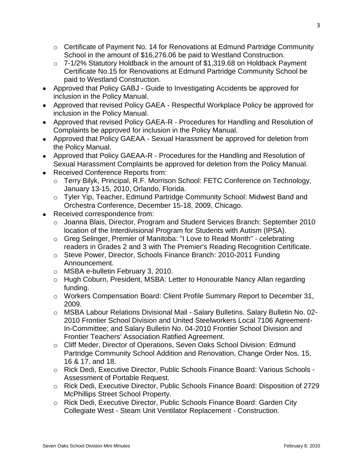- $\circ$  Certificate of Payment No. 14 for Renovations at Edmund Partridge Community School in the amount of \$16,276.06 be paid to Westland Construction.
- o 7-1/2% Statutory Holdback in the amount of \$1,319.68 on Holdback Payment Certificate No.15 for Renovations at Edmund Partridge Community School be paid to Westland Construction.
- Approved that Policy GABJ Guide to Investigating Accidents be approved for inclusion in the Policy Manual.
- Approved that revised Policy GAEA Respectful Workplace Policy be approved for inclusion in the Policy Manual.
- Approved that revised Policy GAEA-R Procedures for Handling and Resolution of Complaints be approved for inclusion in the Policy Manual.
- Approved that Policy GAEAA Sexual Harassment be approved for deletion from the Policy Manual.
- Approved that Policy GAEAA-R Procedures for the Handling and Resolution of Sexual Harassment Complaints be approved for deletion from the Policy Manual.
- Received Conference Reports from:
	- o Terry Bilyk, Principal, R.F. Morrison School: FETC Conference on Technology, January 13-15, 2010, Orlando, Florida.
	- o Tyler Yip, Teacher, Edmund Partridge Community School: Midwest Band and Orchestra Conference, December 15-18, 2009, Chicago.
- Received correspondence from:
	- o Joanna Blais, Director, Program and Student Services Branch: September 2010 location of the Interdivisional Program for Students with Autism (IPSA).
	- o Greg Selinger, Premier of Manitoba: "I Love to Read Month" celebrating readers in Grades 2 and 3 with The Premier's Reading Recognition Certificate.
	- o Steve Power, Director, Schools Finance Branch: 2010-2011 Funding Announcement.
	- o MSBA e-bulletin February 3, 2010.
	- o Hugh Coburn, President, MSBA: Letter to Honourable Nancy Allan regarding funding.
	- o Workers Compensation Board: Client Profile Summary Report to December 31, 2009.
	- o MSBA Labour Relations Divisional Mail Salary Bulletins. Salary Bulletin No. 02- 2010 Frontier School Division and United Steelworkers Local 7106 Agreement-In-Committee; and Salary Bulletin No. 04-2010 Frontier School Division and Frontier Teachers' Association Ratified Agreement.
	- o Cliff Meder, Director of Operations, Seven Oaks School Division: Edmund Partridge Community School Addition and Renovation, Change Order Nos. 15, 16 & 17, and 18.
	- o Rick Dedi, Executive Director, Public Schools Finance Board: Various Schools Assessment of Portable Request.
	- o Rick Dedi, Executive Director, Public Schools Finance Board: Disposition of 2729 McPhillips Street School Property.
	- o Rick Dedi, Executive Director, Public Schools Finance Board: Garden City Collegiate West - Steam Unit Ventilator Replacement - Construction.